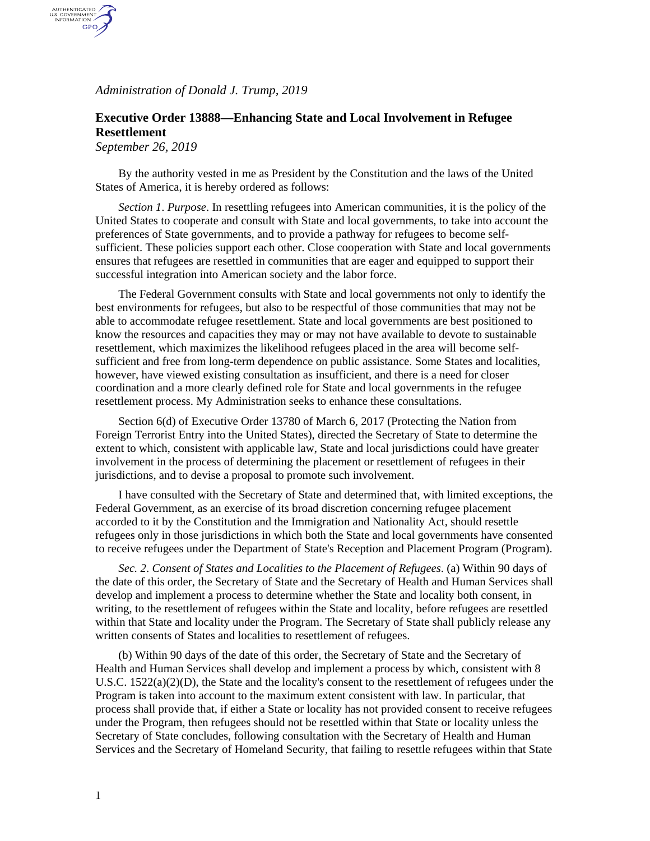*Administration of Donald J. Trump, 2019*

## **Executive Order 13888—Enhancing State and Local Involvement in Refugee Resettlement**

*September 26, 2019*

AUTHENTICATED<br>U.S. GOVERNMENT<br>INFORMATION GPO

> By the authority vested in me as President by the Constitution and the laws of the United States of America, it is hereby ordered as follows:

*Section 1*. *Purpose*. In resettling refugees into American communities, it is the policy of the United States to cooperate and consult with State and local governments, to take into account the preferences of State governments, and to provide a pathway for refugees to become selfsufficient. These policies support each other. Close cooperation with State and local governments ensures that refugees are resettled in communities that are eager and equipped to support their successful integration into American society and the labor force.

The Federal Government consults with State and local governments not only to identify the best environments for refugees, but also to be respectful of those communities that may not be able to accommodate refugee resettlement. State and local governments are best positioned to know the resources and capacities they may or may not have available to devote to sustainable resettlement, which maximizes the likelihood refugees placed in the area will become selfsufficient and free from long-term dependence on public assistance. Some States and localities, however, have viewed existing consultation as insufficient, and there is a need for closer coordination and a more clearly defined role for State and local governments in the refugee resettlement process. My Administration seeks to enhance these consultations.

Section 6(d) of Executive Order 13780 of March 6, 2017 (Protecting the Nation from Foreign Terrorist Entry into the United States), directed the Secretary of State to determine the extent to which, consistent with applicable law, State and local jurisdictions could have greater involvement in the process of determining the placement or resettlement of refugees in their jurisdictions, and to devise a proposal to promote such involvement.

I have consulted with the Secretary of State and determined that, with limited exceptions, the Federal Government, as an exercise of its broad discretion concerning refugee placement accorded to it by the Constitution and the Immigration and Nationality Act, should resettle refugees only in those jurisdictions in which both the State and local governments have consented to receive refugees under the Department of State's Reception and Placement Program (Program).

*Sec. 2*. *Consent of States and Localities to the Placement of Refugees*. (a) Within 90 days of the date of this order, the Secretary of State and the Secretary of Health and Human Services shall develop and implement a process to determine whether the State and locality both consent, in writing, to the resettlement of refugees within the State and locality, before refugees are resettled within that State and locality under the Program. The Secretary of State shall publicly release any written consents of States and localities to resettlement of refugees.

(b) Within 90 days of the date of this order, the Secretary of State and the Secretary of Health and Human Services shall develop and implement a process by which, consistent with 8 U.S.C. 1522(a)(2)(D), the State and the locality's consent to the resettlement of refugees under the Program is taken into account to the maximum extent consistent with law. In particular, that process shall provide that, if either a State or locality has not provided consent to receive refugees under the Program, then refugees should not be resettled within that State or locality unless the Secretary of State concludes, following consultation with the Secretary of Health and Human Services and the Secretary of Homeland Security, that failing to resettle refugees within that State